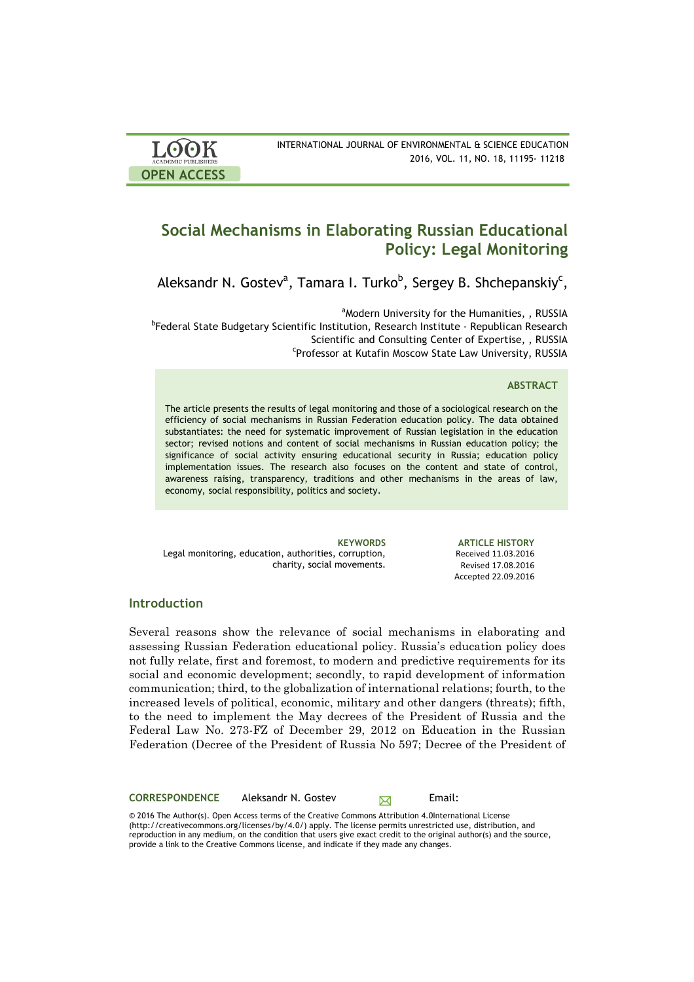| <b>LOOK</b>                | INTERNATIONAL JOURNAL OF ENVIRONMENTAL & SCIENCE EDUCATION |
|----------------------------|------------------------------------------------------------|
| <b>ACADEMIC PUBLISHERS</b> | 2016, VOL. 11, NO. 18, 11195-11218                         |
| <b>OPEN ACCESS</b>         |                                                            |

# **Social Mechanisms in Elaborating Russian Educational Policy: Legal Monitoring**

Aleksandr N. Gostev<sup>a</sup>, Tamara I. Turko<sup>b</sup>, Sergey B. Shchepanskiy<sup>c</sup>,

<sup>a</sup>Modern University for the Humanities, , RUSSIA <sup>a</sup>Modern University for the Humanities, , RUSSIA<br><sup>b</sup>Federal State Budgetary Scientific Institution, Research Institute - Republican Research Scientific and Consulting Center of Expertise, , RUSSIA Professor at Kutafin Moscow State Law University, RUSSIA

## **ABSTRACT**

The article presents the results of legal monitoring and those of a sociological research on the efficiency of social mechanisms in Russian Federation education policy. The data obtained substantiates: the need for systematic improvement of Russian legislation in the education sector; revised notions and content of social mechanisms in Russian education policy; the significance of social activity ensuring educational security in Russia; education policy implementation issues. The research also focuses on the content and state of control, awareness raising, transparency, traditions and other mechanisms in the areas of law, economy, social responsibility, politics and society.

Legal monitoring, education, authorities, corruption, charity, social movements.

**KEYWORDS ARTICLE HISTORY** Received 11.03.2016 Revised 17.08.2016 Accepted 22.09.2016 

## **Introduction**

Several reasons show the relevance of social mechanisms in elaborating and assessing Russian Federation educational policy. Russia's education policy does not fully relate, first and foremost, to modern and predictive requirements for its social and economic development; secondly, to rapid development of information communication; third, to the globalization of international relations; fourth, to the increased levels of political, economic, military and other dangers (threats); fifth, to the need to implement the May decrees of the President of Russia and the Federal Law No. 273-FZ of December 29, 2012 on Education in the Russian Federation (Decree of the President of Russia No 597; Decree of the President of

**CORRESPONDENCE** Aleksandr N. Gostev Email:

© 2016 The Author(s). Open Access terms of the Creative Commons Attribution 4.0International License (http://creativecommons.org/licenses/by/4.0/) apply. The license permits unrestricted use, distribution, and reproduction in any medium, on the condition that users give exact credit to the original author(s) and the source, provide a link to the Creative Commons license, and indicate if they made any changes.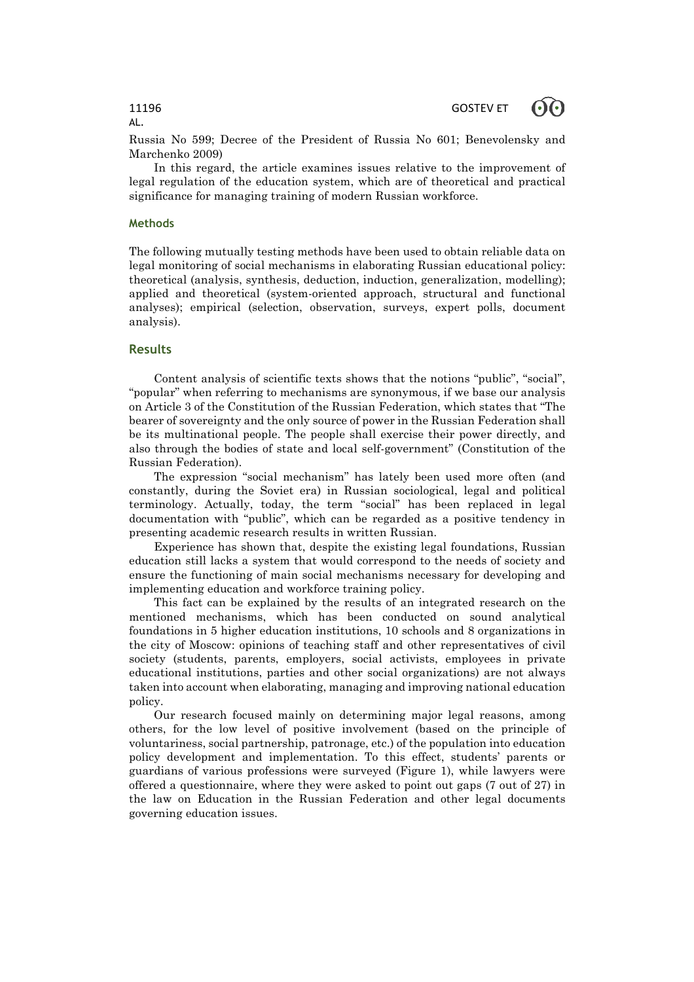Russia No 599; Decree of the President of Russia No 601; Benevolensky and Marchenko 2009)

In this regard, the article examines issues relative to the improvement of legal regulation of the education system, which are of theoretical and practical significance for managing training of modern Russian workforce.

## **Methods**

The following mutually testing methods have been used to obtain reliable data on legal monitoring of social mechanisms in elaborating Russian educational policy: theoretical (analysis, synthesis, deduction, induction, generalization, modelling); applied and theoretical (system-oriented approach, structural and functional analyses); empirical (selection, observation, surveys, expert polls, document analysis).

## **Results**

Content analysis of scientific texts shows that the notions "public", "social", "popular" when referring to mechanisms are synonymous, if we base our analysis on Article 3 of the Constitution of the Russian Federation, which states that "The bearer of sovereignty and the only source of power in the Russian Federation shall be its multinational people. The people shall exercise their power directly, and also through the bodies of state and local self-government" (Constitution of the Russian Federation).

The expression "social mechanism" has lately been used more often (and constantly, during the Soviet era) in Russian sociological, legal and political terminology. Actually, today, the term "social" has been replaced in legal documentation with "public", which can be regarded as a positive tendency in presenting academic research results in written Russian.

Experience has shown that, despite the existing legal foundations, Russian education still lacks a system that would correspond to the needs of society and ensure the functioning of main social mechanisms necessary for developing and implementing education and workforce training policy.

This fact can be explained by the results of an integrated research on the mentioned mechanisms, which has been conducted on sound analytical foundations in 5 higher education institutions, 10 schools and 8 organizations in the city of Moscow: opinions of teaching staff and other representatives of civil society (students, parents, employers, social activists, employees in private educational institutions, parties and other social organizations) are not always taken into account when elaborating, managing and improving national education policy.

Our research focused mainly on determining major legal reasons, among others, for the low level of positive involvement (based on the principle of voluntariness, social partnership, patronage, etc.) of the population into education policy development and implementation. To this effect, students' parents or guardians of various professions were surveyed (Figure 1), while lawyers were offered a questionnaire, where they were asked to point out gaps (7 out of 27) in the law on Education in the Russian Federation and other legal documents governing education issues.

# AL.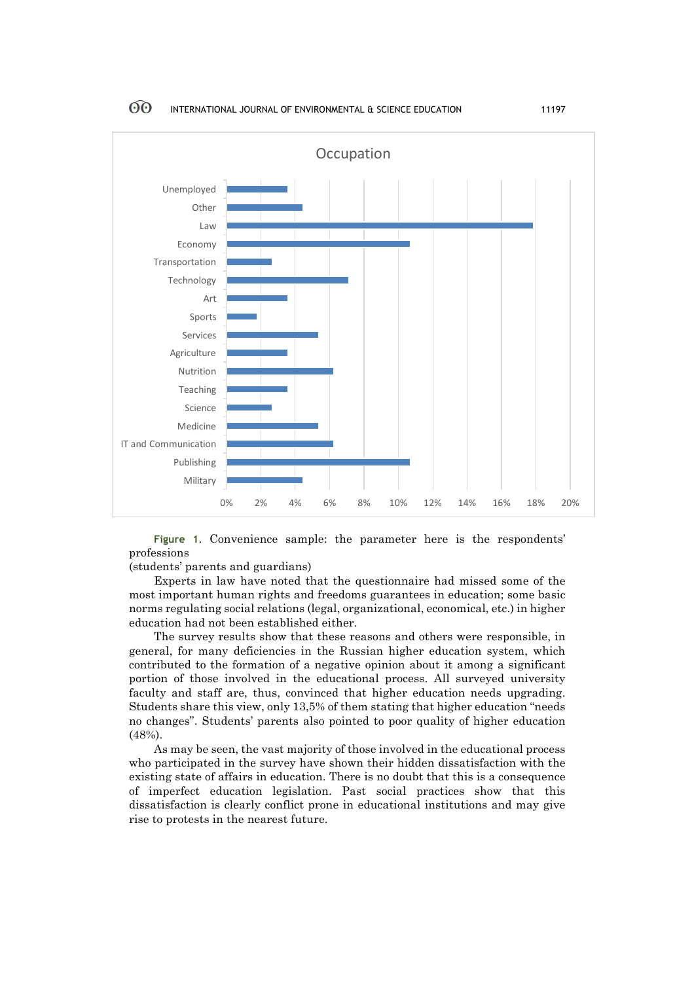

**Figure 1**. Convenience sample: the parameter here is the respondents' professions

(students' parents and guardians)

Experts in law have noted that the questionnaire had missed some of the most important human rights and freedoms guarantees in education; some basic norms regulating social relations (legal, organizational, economical, etc.) in higher education had not been established either.

The survey results show that these reasons and others were responsible, in general, for many deficiencies in the Russian higher education system, which contributed to the formation of a negative opinion about it among a significant portion of those involved in the educational process. All surveyed university faculty and staff are, thus, convinced that higher education needs upgrading. Students share this view, only 13,5% of them stating that higher education "needs no changes". Students' parents also pointed to poor quality of higher education (48%).

As may be seen, the vast majority of those involved in the educational process who participated in the survey have shown their hidden dissatisfaction with the existing state of affairs in education. There is no doubt that this is a consequence of imperfect education legislation. Past social practices show that this dissatisfaction is clearly conflict prone in educational institutions and may give rise to protests in the nearest future.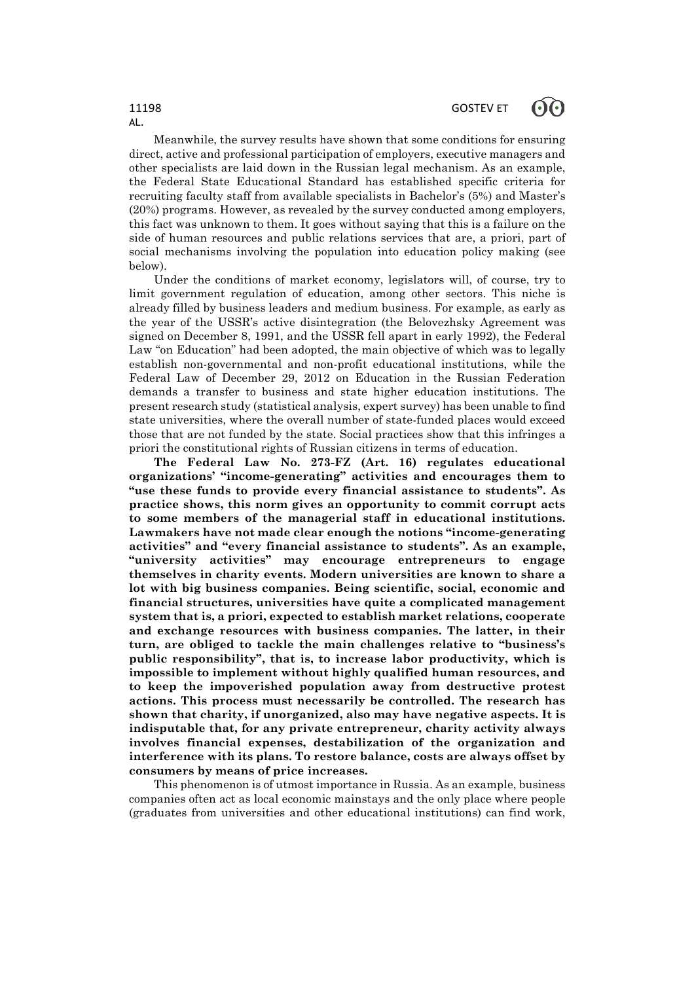Meanwhile, the survey results have shown that some conditions for ensuring direct, active and professional participation of employers, executive managers and other specialists are laid down in the Russian legal mechanism. As an example, the Federal State Educational Standard has established specific criteria for recruiting faculty staff from available specialists in Bachelor's (5%) and Master's (20%) programs. However, as revealed by the survey conducted among employers, this fact was unknown to them. It goes without saying that this is a failure on the side of human resources and public relations services that are, a priori, part of social mechanisms involving the population into education policy making (see below).

Under the conditions of market economy, legislators will, of course, try to limit government regulation of education, among other sectors. This niche is already filled by business leaders and medium business. For example, as early as the year of the USSR's active disintegration (the Belovezhsky Agreement was signed on December 8, 1991, and the USSR fell apart in early 1992), the Federal Law "on Education" had been adopted, the main objective of which was to legally establish non-governmental and non-profit educational institutions, while the Federal Law of December 29, 2012 on Education in the Russian Federation demands a transfer to business and state higher education institutions. The present research study (statistical analysis, expert survey) has been unable to find state universities, where the overall number of state-funded places would exceed those that are not funded by the state. Social practices show that this infringes a priori the constitutional rights of Russian citizens in terms of education.

**The Federal Law No. 273-FZ (Art. 16) regulates educational organizations' "income-generating" activities and encourages them to "use these funds to provide every financial assistance to students". As practice shows, this norm gives an opportunity to commit corrupt acts to some members of the managerial staff in educational institutions. Lawmakers have not made clear enough the notions "income-generating activities" and "every financial assistance to students". As an example, "university activities" may encourage entrepreneurs to engage themselves in charity events. Modern universities are known to share a lot with big business companies. Being scientific, social, economic and financial structures, universities have quite a complicated management system that is, a priori, expected to establish market relations, cooperate and exchange resources with business companies. The latter, in their turn, are obliged to tackle the main challenges relative to "business's public responsibility", that is, to increase labor productivity, which is impossible to implement without highly qualified human resources, and to keep the impoverished population away from destructive protest actions. This process must necessarily be controlled. The research has shown that charity, if unorganized, also may have negative aspects. It is indisputable that, for any private entrepreneur, charity activity always involves financial expenses, destabilization of the organization and interference with its plans. To restore balance, costs are always offset by consumers by means of price increases.**

This phenomenon is of utmost importance in Russia. As an example, business companies often act as local economic mainstays and the only place where people (graduates from universities and other educational institutions) can find work,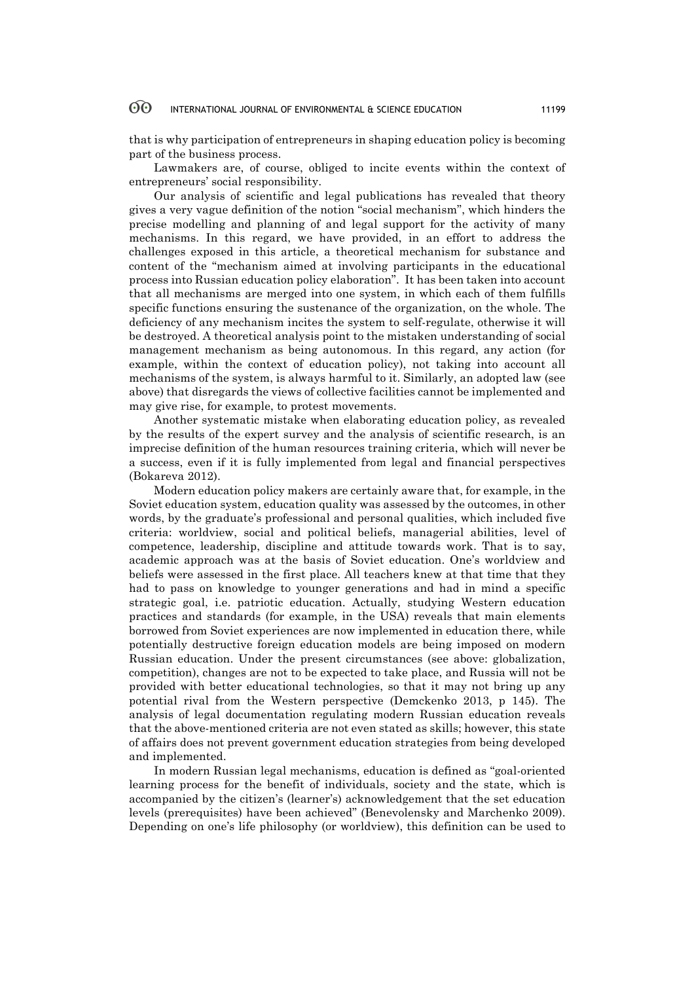that is why participation of entrepreneurs in shaping education policy is becoming part of the business process.

Lawmakers are, of course, obliged to incite events within the context of entrepreneurs' social responsibility.

Our analysis of scientific and legal publications has revealed that theory gives a very vague definition of the notion "social mechanism", which hinders the precise modelling and planning of and legal support for the activity of many mechanisms. In this regard, we have provided, in an effort to address the challenges exposed in this article, a theoretical mechanism for substance and content of the "mechanism aimed at involving participants in the educational process into Russian education policy elaboration". It has been taken into account that all mechanisms are merged into one system, in which each of them fulfills specific functions ensuring the sustenance of the organization, on the whole. The deficiency of any mechanism incites the system to self-regulate, otherwise it will be destroyed. A theoretical analysis point to the mistaken understanding of social management mechanism as being autonomous. In this regard, any action (for example, within the context of education policy), not taking into account all mechanisms of the system, is always harmful to it. Similarly, an adopted law (see above) that disregards the views of collective facilities cannot be implemented and may give rise, for example, to protest movements.

Another systematic mistake when elaborating education policy, as revealed by the results of the expert survey and the analysis of scientific research, is an imprecise definition of the human resources training criteria, which will never be a success, even if it is fully implemented from legal and financial perspectives (Bokareva 2012).

Modern education policy makers are certainly aware that, for example, in the Soviet education system, education quality was assessed by the outcomes, in other words, by the graduate's professional and personal qualities, which included five criteria: worldview, social and political beliefs, managerial abilities, level of competence, leadership, discipline and attitude towards work. That is to say, academic approach was at the basis of Soviet education. One's worldview and beliefs were assessed in the first place. All teachers knew at that time that they had to pass on knowledge to younger generations and had in mind a specific strategic goal, i.e. patriotic education. Actually, studying Western education practices and standards (for example, in the USA) reveals that main elements borrowed from Soviet experiences are now implemented in education there, while potentially destructive foreign education models are being imposed on modern Russian education. Under the present circumstances (see above: globalization, competition), changes are not to be expected to take place, and Russia will not be provided with better educational technologies, so that it may not bring up any potential rival from the Western perspective (Demckenko 2013, p 145). The analysis of legal documentation regulating modern Russian education reveals that the above-mentioned criteria are not even stated as skills; however, this state of affairs does not prevent government education strategies from being developed and implemented.

In modern Russian legal mechanisms, education is defined as "goal-oriented learning process for the benefit of individuals, society and the state, which is accompanied by the citizen's (learner's) acknowledgement that the set education levels (prerequisites) have been achieved" (Benevolensky and Marchenko 2009). Depending on one's life philosophy (or worldview), this definition can be used to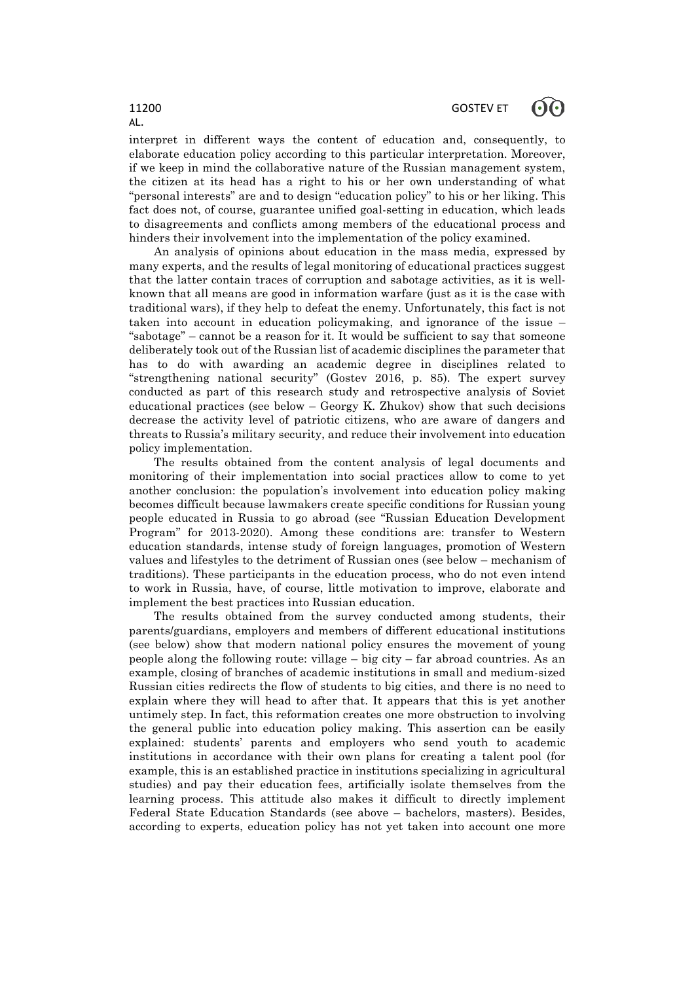interpret in different ways the content of education and, consequently, to elaborate education policy according to this particular interpretation. Moreover, if we keep in mind the collaborative nature of the Russian management system, the citizen at its head has a right to his or her own understanding of what "personal interests" are and to design "education policy" to his or her liking. This fact does not, of course, guarantee unified goal-setting in education, which leads to disagreements and conflicts among members of the educational process and hinders their involvement into the implementation of the policy examined.

An analysis of opinions about education in the mass media, expressed by many experts, and the results of legal monitoring of educational practices suggest that the latter contain traces of corruption and sabotage activities, as it is wellknown that all means are good in information warfare (just as it is the case with traditional wars), if they help to defeat the enemy. Unfortunately, this fact is not taken into account in education policymaking, and ignorance of the issue – "sabotage" – cannot be a reason for it. It would be sufficient to say that someone deliberately took out of the Russian list of academic disciplines the parameter that has to do with awarding an academic degree in disciplines related to "strengthening national security" (Gostev 2016, p. 85). The expert survey conducted as part of this research study and retrospective analysis of Soviet educational practices (see below  $-$  Georgy K. Zhukov) show that such decisions decrease the activity level of patriotic citizens, who are aware of dangers and threats to Russia's military security, and reduce their involvement into education policy implementation.

The results obtained from the content analysis of legal documents and monitoring of their implementation into social practices allow to come to yet another conclusion: the population's involvement into education policy making becomes difficult because lawmakers create specific conditions for Russian young people educated in Russia to go abroad (see "Russian Education Development Program" for 2013-2020). Among these conditions are: transfer to Western education standards, intense study of foreign languages, promotion of Western values and lifestyles to the detriment of Russian ones (see below – mechanism of traditions). These participants in the education process, who do not even intend to work in Russia, have, of course, little motivation to improve, elaborate and implement the best practices into Russian education.

The results obtained from the survey conducted among students, their parents/guardians, employers and members of different educational institutions (see below) show that modern national policy ensures the movement of young people along the following route: village – big city – far abroad countries. As an example, closing of branches of academic institutions in small and medium-sized Russian cities redirects the flow of students to big cities, and there is no need to explain where they will head to after that. It appears that this is yet another untimely step. In fact, this reformation creates one more obstruction to involving the general public into education policy making. This assertion can be easily explained: students' parents and employers who send youth to academic institutions in accordance with their own plans for creating a talent pool (for example, this is an established practice in institutions specializing in agricultural studies) and pay their education fees, artificially isolate themselves from the learning process. This attitude also makes it difficult to directly implement Federal State Education Standards (see above – bachelors, masters). Besides, according to experts, education policy has not yet taken into account one more

AL.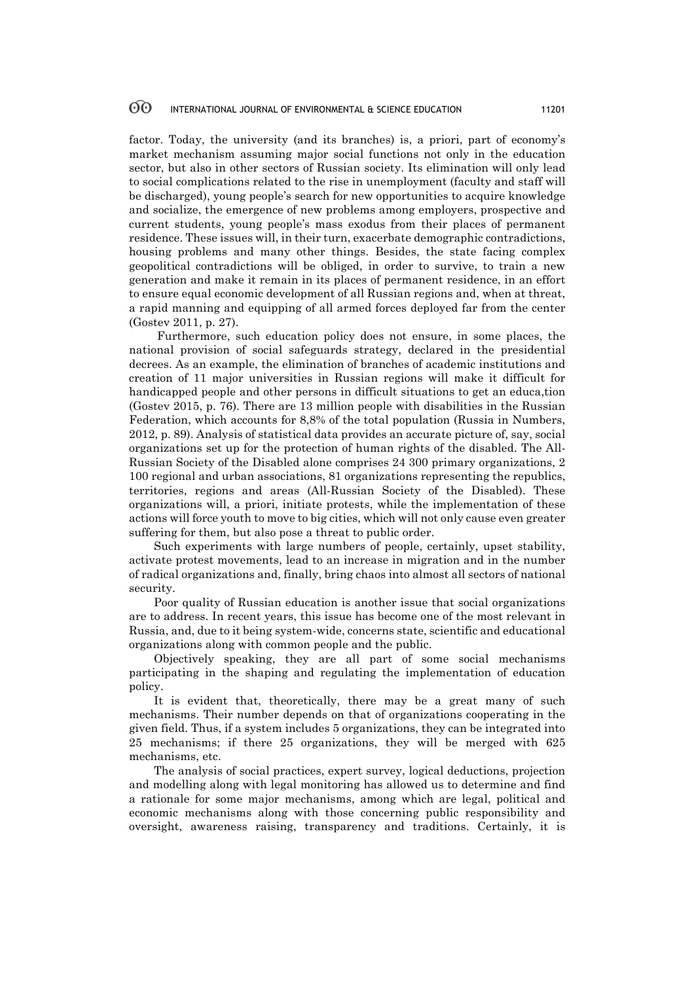factor. Today, the university (and its branches) is, a priori, part of economy's market mechanism assuming major social functions not only in the education sector, but also in other sectors of Russian society. Its elimination will only lead to social complications related to the rise in unemployment (faculty and staff will be discharged), young people's search for new opportunities to acquire knowledge and socialize, the emergence of new problems among employers, prospective and current students, young people's mass exodus from their places of permanent residence. These issues will, in their turn, exacerbate demographic contradictions, housing problems and many other things. Besides, the state facing complex geopolitical contradictions will be obliged, in order to survive, to train a new generation and make it remain in its places of permanent residence, in an effort to ensure equal economic development of all Russian regions and, when at threat, a rapid manning and equipping of all armed forces deployed far from the center (Gostev 2011, p. 27).

Furthermore, such education policy does not ensure, in some places, the national provision of social safeguards strategy, declared in the presidential decrees. As an example, the elimination of branches of academic institutions and creation of 11 major universities in Russian regions will make it difficult for handicapped people and other persons in difficult situations to get an educa,tion (Gostev 2015, p. 76). There are 13 million people with disabilities in the Russian Federation, which accounts for 8,8% of the total population (Russia in Numbers, 2012, p. 89). Analysis of statistical data provides an accurate picture of, say, social organizations set up for the protection of human rights of the disabled. The All-Russian Society of the Disabled alone comprises 24 300 primary organizations, 2 100 regional and urban associations, 81 organizations representing the republics, territories, regions and areas (All-Russian Society of the Disabled). These organizations will, a priori, initiate protests, while the implementation of these actions will force youth to move to big cities, which will not only cause even greater suffering for them, but also pose a threat to public order.

Such experiments with large numbers of people, certainly, upset stability, activate protest movements, lead to an increase in migration and in the number of radical organizations and, finally, bring chaos into almost all sectors of national security.

Poor quality of Russian education is another issue that social organizations are to address. In recent years, this issue has become one of the most relevant in Russia, and, due to it being system-wide, concerns state, scientific and educational organizations along with common people and the public.

Objectively speaking, they are all part of some social mechanisms participating in the shaping and regulating the implementation of education policy.

It is evident that, theoretically, there may be a great many of such mechanisms. Their number depends on that of organizations cooperating in the given field. Thus, if a system includes 5 organizations, they can be integrated into 25 mechanisms; if there 25 organizations, they will be merged with 625 mechanisms, etc.

The analysis of social practices, expert survey, logical deductions, projection and modelling along with legal monitoring has allowed us to determine and find a rationale for some major mechanisms, among which are legal, political and economic mechanisms along with those concerning public responsibility and oversight, awareness raising, transparency and traditions. Certainly, it is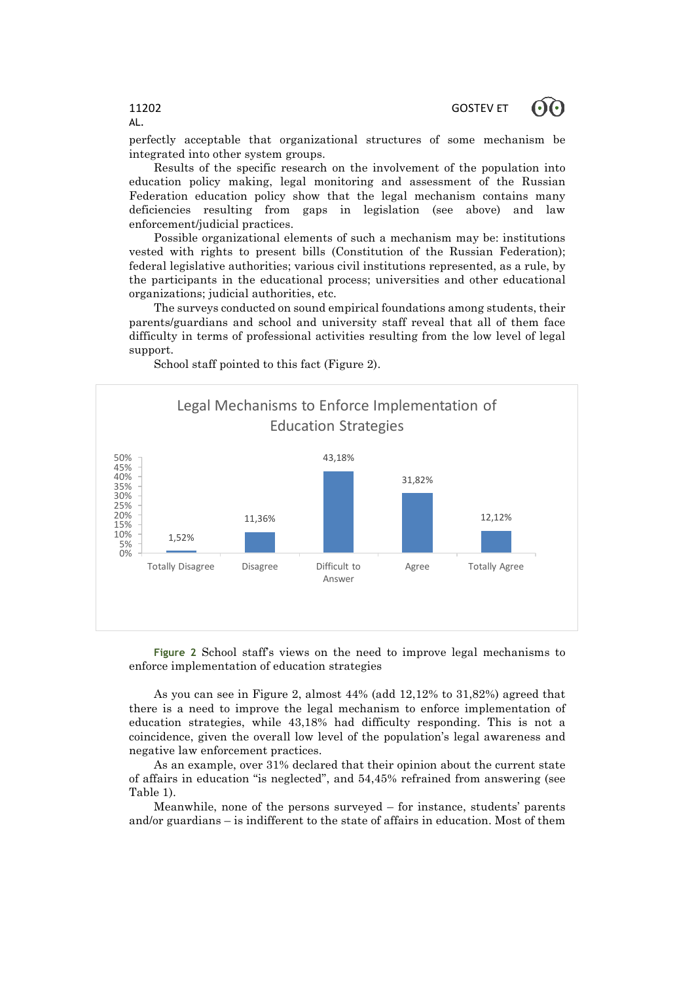perfectly acceptable that organizational structures of some mechanism be integrated into other system groups.

Results of the specific research on the involvement of the population into education policy making, legal monitoring and assessment of the Russian Federation education policy show that the legal mechanism contains many deficiencies resulting from gaps in legislation (see above) and law enforcement/judicial practices.

Possible organizational elements of such a mechanism may be: institutions vested with rights to present bills (Constitution of the Russian Federation); federal legislative authorities; various civil institutions represented, as a rule, by the participants in the educational process; universities and other educational organizations; judicial authorities, etc.

The surveys conducted on sound empirical foundations among students, their parents/guardians and school and university staff reveal that all of them face difficulty in terms of professional activities resulting from the low level of legal support.



School staff pointed to this fact (Figure 2).

**Figure 2** School staff's views on the need to improve legal mechanisms to enforce implementation of education strategies

As you can see in Figure 2, almost 44% (add 12,12% to 31,82%) agreed that there is a need to improve the legal mechanism to enforce implementation of education strategies, while 43,18% had difficulty responding. This is not a coincidence, given the overall low level of the population's legal awareness and negative law enforcement practices.

As an example, over 31% declared that their opinion about the current state of affairs in education "is neglected", and 54,45% refrained from answering (see Table 1).

Meanwhile, none of the persons surveyed – for instance, students' parents and/or guardians – is indifferent to the state of affairs in education. Most of them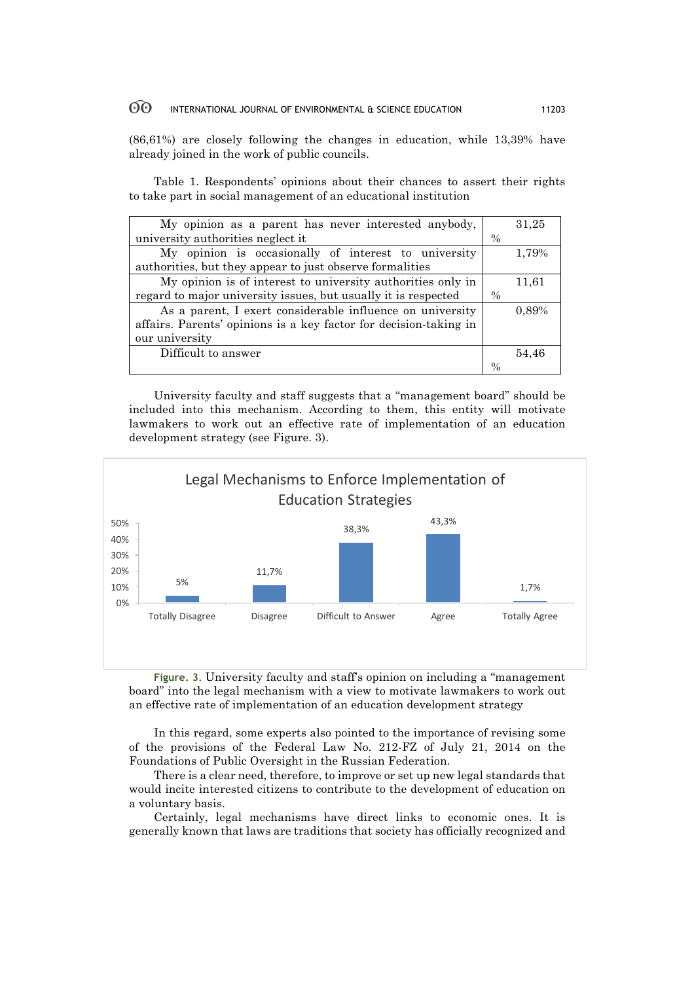(86,61%) are closely following the changes in education, while 13,39% have already joined in the work of public councils.

Table 1. Respondents' opinions about their chances to assert their rights to take part in social management of an educational institution

| My opinion as a parent has never interested anybody,              |      | 31,25 |
|-------------------------------------------------------------------|------|-------|
| university authorities neglect it                                 | $\%$ |       |
| My opinion is occasionally of interest to university              |      | 1,79% |
| authorities, but they appear to just observe formalities          |      |       |
| My opinion is of interest to university authorities only in       |      | 11,61 |
| regard to major university issues, but usually it is respected    | $\%$ |       |
| As a parent, I exert considerable influence on university         |      | 0.89% |
| affairs. Parents' opinions is a key factor for decision-taking in |      |       |
| our university                                                    |      |       |
| Difficult to answer                                               |      | 54,46 |
|                                                                   | $\%$ |       |

University faculty and staff suggests that a "management board" should be included into this mechanism. According to them, this entity will motivate lawmakers to work out an effective rate of implementation of an education development strategy (see Figure. 3).



**Figure. 3**. University faculty and staff's opinion on including a "management board" into the legal mechanism with a view to motivate lawmakers to work out an effective rate of implementation of an education development strategy

In this regard, some experts also pointed to the importance of revising some of the provisions of the Federal Law No. 212-FZ of July 21, 2014 on the Foundations of Public Oversight in the Russian Federation.

There is a clear need, therefore, to improve or set up new legal standards that would incite interested citizens to contribute to the development of education on a voluntary basis.

Certainly, legal mechanisms have direct links to economic ones. It is generally known that laws are traditions that society has officially recognized and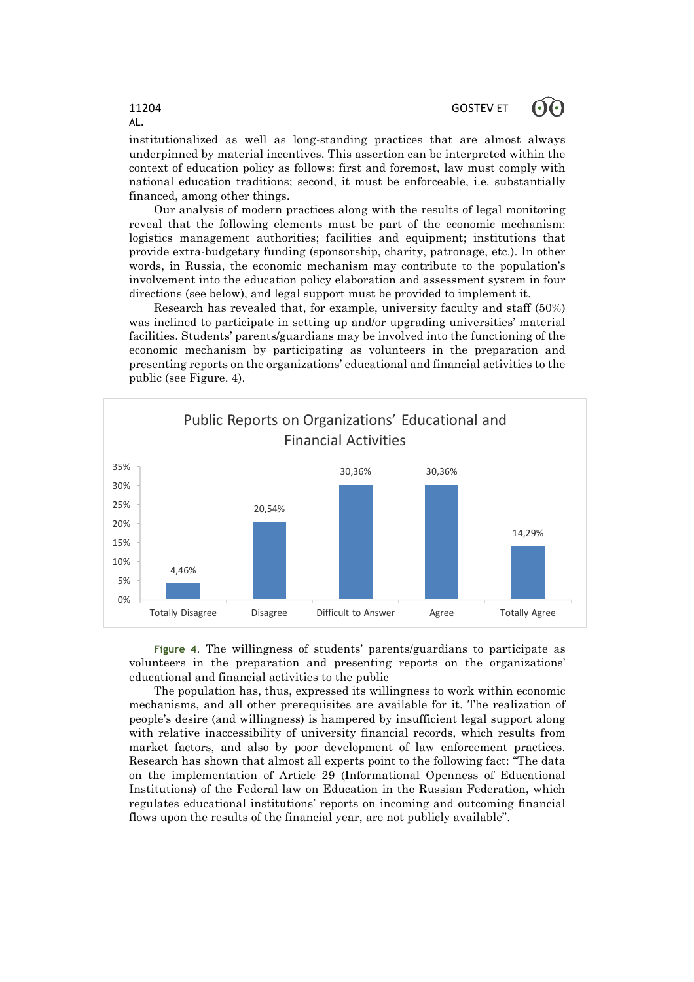institutionalized as well as long-standing practices that are almost always underpinned by material incentives. This assertion can be interpreted within the context of education policy as follows: first and foremost, law must comply with national education traditions; second, it must be enforceable, i.e. substantially financed, among other things.

Our analysis of modern practices along with the results of legal monitoring reveal that the following elements must be part of the economic mechanism: logistics management authorities; facilities and equipment; institutions that provide extra-budgetary funding (sponsorship, charity, patronage, etc.). In other words, in Russia, the economic mechanism may contribute to the population's involvement into the education policy elaboration and assessment system in four directions (see below), and legal support must be provided to implement it.

Research has revealed that, for example, university faculty and staff (50%) was inclined to participate in setting up and/or upgrading universities' material facilities. Students' parents/guardians may be involved into the functioning of the economic mechanism by participating as volunteers in the preparation and presenting reports on the organizations' educational and financial activities to the public (see Figure. 4).



**Figure 4**. The willingness of students' parents/guardians to participate as volunteers in the preparation and presenting reports on the organizations' educational and financial activities to the public

The population has, thus, expressed its willingness to work within economic mechanisms, and all other prerequisites are available for it. The realization of people's desire (and willingness) is hampered by insufficient legal support along with relative inaccessibility of university financial records, which results from market factors, and also by poor development of law enforcement practices. Research has shown that almost all experts point to the following fact: "The data on the implementation of Article 29 (Informational Openness of Educational Institutions) of the Federal law on Education in the Russian Federation, which regulates educational institutions' reports on incoming and outcoming financial flows upon the results of the financial year, are not publicly available".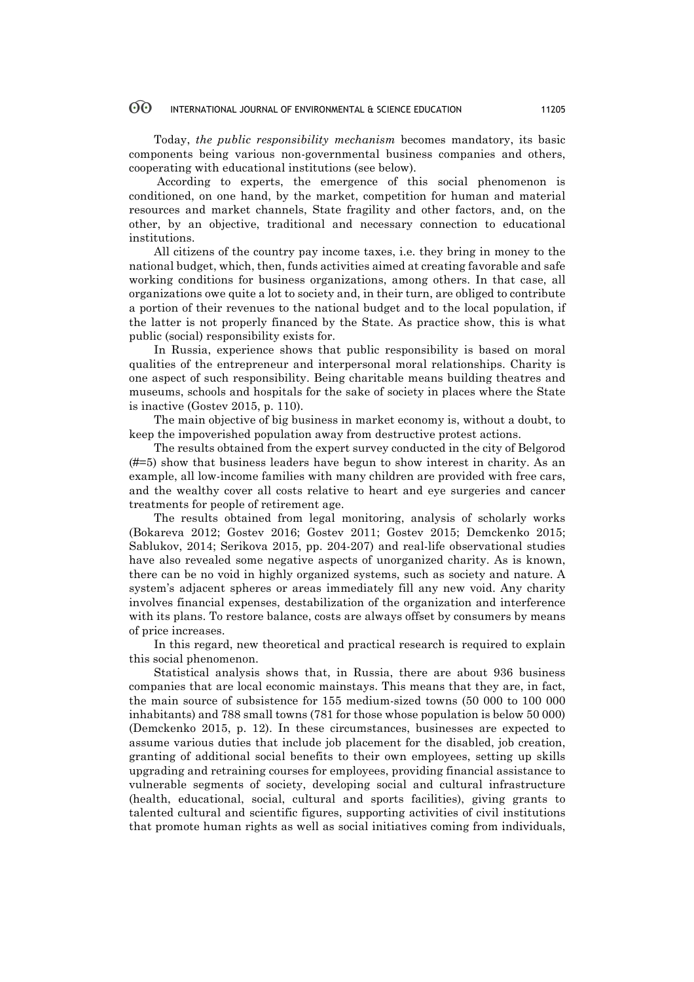Today, *the public responsibility mechanism* becomes mandatory, its basic components being various non-governmental business companies and others, cooperating with educational institutions (see below).

According to experts, the emergence of this social phenomenon is conditioned, on one hand, by the market, competition for human and material resources and market channels, State fragility and other factors, and, on the other, by an objective, traditional and necessary connection to educational institutions.

All citizens of the country pay income taxes, i.e. they bring in money to the national budget, which, then, funds activities aimed at creating favorable and safe working conditions for business organizations, among others. In that case, all organizations owe quite a lot to society and, in their turn, are obliged to contribute a portion of their revenues to the national budget and to the local population, if the latter is not properly financed by the State. As practice show, this is what public (social) responsibility exists for.

In Russia, experience shows that public responsibility is based on moral qualities of the entrepreneur and interpersonal moral relationships. Charity is one aspect of such responsibility. Being charitable means building theatres and museums, schools and hospitals for the sake of society in places where the State is inactive (Gostev 2015, p. 110).

The main objective of big business in market economy is, without a doubt, to keep the impoverished population away from destructive protest actions.

The results obtained from the expert survey conducted in the city of Belgorod (#=5) show that business leaders have begun to show interest in charity. As an example, all low-income families with many children are provided with free cars, and the wealthy cover all costs relative to heart and eye surgeries and cancer treatments for people of retirement age.

The results obtained from legal monitoring, analysis of scholarly works (Bokareva 2012; Gostev 2016; Gostev 2011; Gostev 2015; Demckenko 2015; Sablukov, 2014; Serikova 2015, pp. 204-207) and real-life observational studies have also revealed some negative aspects of unorganized charity. As is known, there can be no void in highly organized systems, such as society and nature. A system's adjacent spheres or areas immediately fill any new void. Any charity involves financial expenses, destabilization of the organization and interference with its plans. To restore balance, costs are always offset by consumers by means of price increases.

In this regard, new theoretical and practical research is required to explain this social phenomenon.

Statistical analysis shows that, in Russia, there are about 936 business companies that are local economic mainstays. This means that they are, in fact, the main source of subsistence for 155 medium-sized towns (50 000 to 100 000 inhabitants) and 788 small towns (781 for those whose population is below 50 000) (Demckenko 2015, p. 12). In these circumstances, businesses are expected to assume various duties that include job placement for the disabled, job creation, granting of additional social benefits to their own employees, setting up skills upgrading and retraining courses for employees, providing financial assistance to vulnerable segments of society, developing social and cultural infrastructure (health, educational, social, cultural and sports facilities), giving grants to talented cultural and scientific figures, supporting activities of civil institutions that promote human rights as well as social initiatives coming from individuals,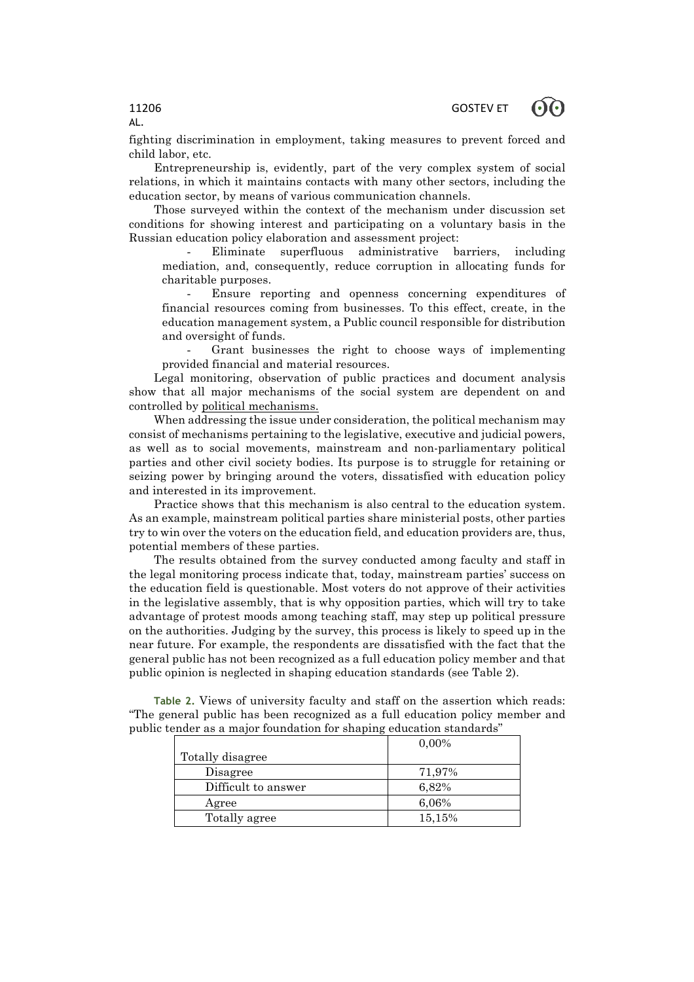fighting discrimination in employment, taking measures to prevent forced and child labor, etc.

Entrepreneurship is, evidently, part of the very complex system of social relations, in which it maintains contacts with many other sectors, including the education sector, by means of various communication channels.

Those surveyed within the context of the mechanism under discussion set conditions for showing interest and participating on a voluntary basis in the Russian education policy elaboration and assessment project:

Eliminate superfluous administrative barriers, including mediation, and, consequently, reduce corruption in allocating funds for charitable purposes.

Ensure reporting and openness concerning expenditures of financial resources coming from businesses. To this effect, create, in the education management system, a Public council responsible for distribution and oversight of funds.

- Grant businesses the right to choose ways of implementing provided financial and material resources.

Legal monitoring, observation of public practices and document analysis show that all major mechanisms of the social system are dependent on and controlled by political mechanisms.

When addressing the issue under consideration, the political mechanism may consist of mechanisms pertaining to the legislative, executive and judicial powers, as well as to social movements, mainstream and non-parliamentary political parties and other civil society bodies. Its purpose is to struggle for retaining or seizing power by bringing around the voters, dissatisfied with education policy and interested in its improvement.

Practice shows that this mechanism is also central to the education system. As an example, mainstream political parties share ministerial posts, other parties try to win over the voters on the education field, and education providers are, thus, potential members of these parties.

The results obtained from the survey conducted among faculty and staff in the legal monitoring process indicate that, today, mainstream parties' success on the education field is questionable. Most voters do not approve of their activities in the legislative assembly, that is why opposition parties, which will try to take advantage of protest moods among teaching staff, may step up political pressure on the authorities. Judging by the survey, this process is likely to speed up in the near future. For example, the respondents are dissatisfied with the fact that the general public has not been recognized as a full education policy member and that public opinion is neglected in shaping education standards (see Table 2).

**Table 2.** Views of university faculty and staff on the assertion which reads: "The general public has been recognized as a full education policy member and public tender as a major foundation for shaping education standards"

|                     | $0.00\%$ |
|---------------------|----------|
| Totally disagree    |          |
| Disagree            | 71,97%   |
| Difficult to answer | 6,82%    |
| Agree               | 6,06%    |
| Totally agree       | 15,15%   |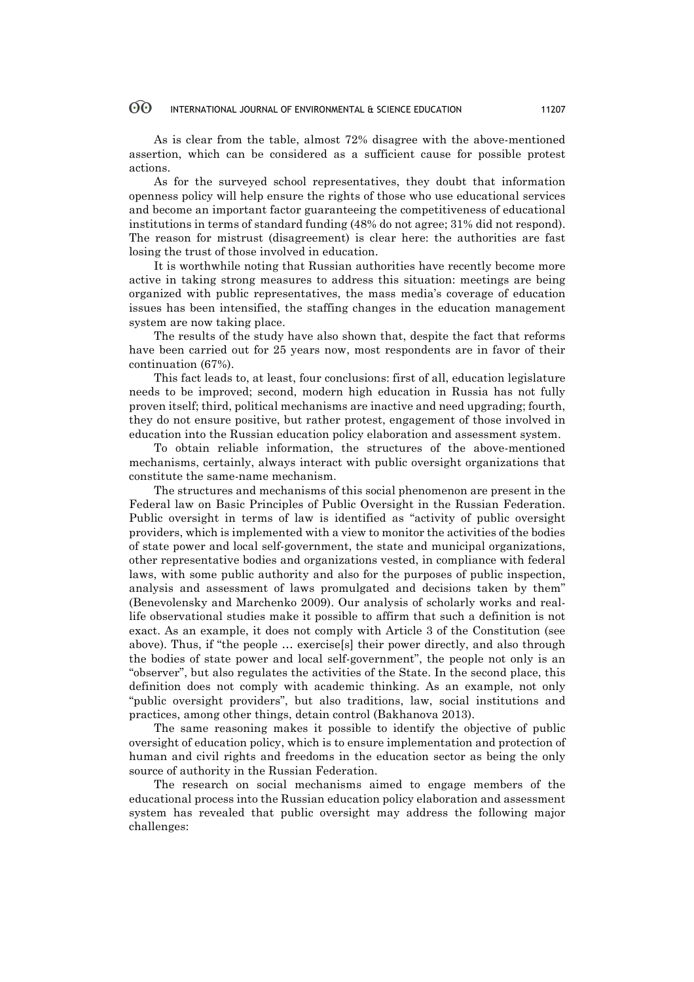As is clear from the table, almost 72% disagree with the above-mentioned assertion, which can be considered as a sufficient cause for possible protest actions.

As for the surveyed school representatives, they doubt that information openness policy will help ensure the rights of those who use educational services and become an important factor guaranteeing the competitiveness of educational institutions in terms of standard funding (48% do not agree; 31% did not respond). The reason for mistrust (disagreement) is clear here: the authorities are fast losing the trust of those involved in education.

It is worthwhile noting that Russian authorities have recently become more active in taking strong measures to address this situation: meetings are being organized with public representatives, the mass media's coverage of education issues has been intensified, the staffing changes in the education management system are now taking place.

The results of the study have also shown that, despite the fact that reforms have been carried out for 25 years now, most respondents are in favor of their continuation (67%).

This fact leads to, at least, four conclusions: first of all, education legislature needs to be improved; second, modern high education in Russia has not fully proven itself; third, political mechanisms are inactive and need upgrading; fourth, they do not ensure positive, but rather protest, engagement of those involved in education into the Russian education policy elaboration and assessment system.

To obtain reliable information, the structures of the above-mentioned mechanisms, certainly, always interact with public oversight organizations that constitute the same-name mechanism.

The structures and mechanisms of this social phenomenon are present in the Federal law on Basic Principles of Public Oversight in the Russian Federation. Public oversight in terms of law is identified as "activity of public oversight providers, which is implemented with a view to monitor the activities of the bodies of state power and local self-government, the state and municipal organizations, other representative bodies and organizations vested, in compliance with federal laws, with some public authority and also for the purposes of public inspection, analysis and assessment of laws promulgated and decisions taken by them" (Benevolensky and Marchenko 2009). Our analysis of scholarly works and reallife observational studies make it possible to affirm that such a definition is not exact. As an example, it does not comply with Article 3 of the Constitution (see above). Thus, if "the people … exercise[s] their power directly, and also through the bodies of state power and local self-government", the people not only is an "observer", but also regulates the activities of the State. In the second place, this definition does not comply with academic thinking. As an example, not only "public oversight providers", but also traditions, law, social institutions and practices, among other things, detain control (Bakhanova 2013).

The same reasoning makes it possible to identify the objective of public oversight of education policy, which is to ensure implementation and protection of human and civil rights and freedoms in the education sector as being the only source of authority in the Russian Federation.

The research on social mechanisms aimed to engage members of the educational process into the Russian education policy elaboration and assessment system has revealed that public oversight may address the following major challenges: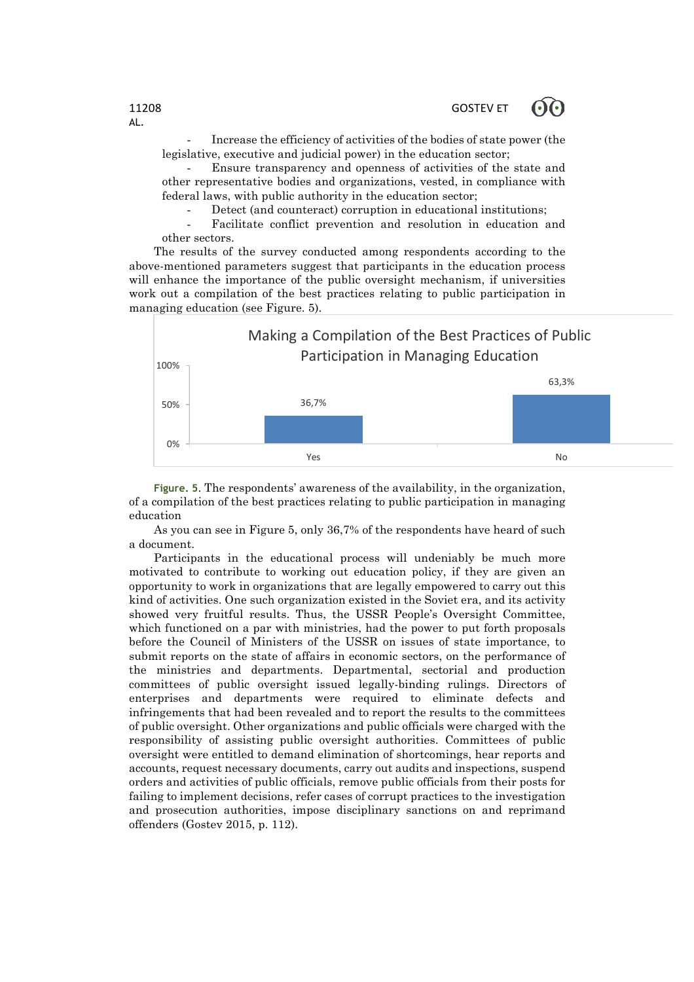Increase the efficiency of activities of the bodies of state power (the legislative, executive and judicial power) in the education sector;

- Ensure transparency and openness of activities of the state and other representative bodies and organizations, vested, in compliance with federal laws, with public authority in the education sector;

Detect (and counteract) corruption in educational institutions;

Facilitate conflict prevention and resolution in education and other sectors.

The results of the survey conducted among respondents according to the above-mentioned parameters suggest that participants in the education process will enhance the importance of the public oversight mechanism, if universities work out a compilation of the best practices relating to public participation in managing education (see Figure. 5).



**Figure. 5**. The respondents' awareness of the availability, in the organization, of a compilation of the best practices relating to public participation in managing education

As you can see in Figure 5, only 36,7% of the respondents have heard of such a document.

Participants in the educational process will undeniably be much more motivated to contribute to working out education policy, if they are given an opportunity to work in organizations that are legally empowered to carry out this kind of activities. One such organization existed in the Soviet era, and its activity showed very fruitful results. Thus, the USSR People's Oversight Committee, which functioned on a par with ministries, had the power to put forth proposals before the Council of Ministers of the USSR on issues of state importance, to submit reports on the state of affairs in economic sectors, on the performance of the ministries and departments. Departmental, sectorial and production committees of public oversight issued legally-binding rulings. Directors of enterprises and departments were required to eliminate defects and infringements that had been revealed and to report the results to the committees of public oversight. Other organizations and public officials were charged with the responsibility of assisting public oversight authorities. Committees of public oversight were entitled to demand elimination of shortcomings, hear reports and accounts, request necessary documents, carry out audits and inspections, suspend orders and activities of public officials, remove public officials from their posts for failing to implement decisions, refer cases of corrupt practices to the investigation and prosecution authorities, impose disciplinary sanctions on and reprimand offenders (Gostev 2015, p. 112).

AL.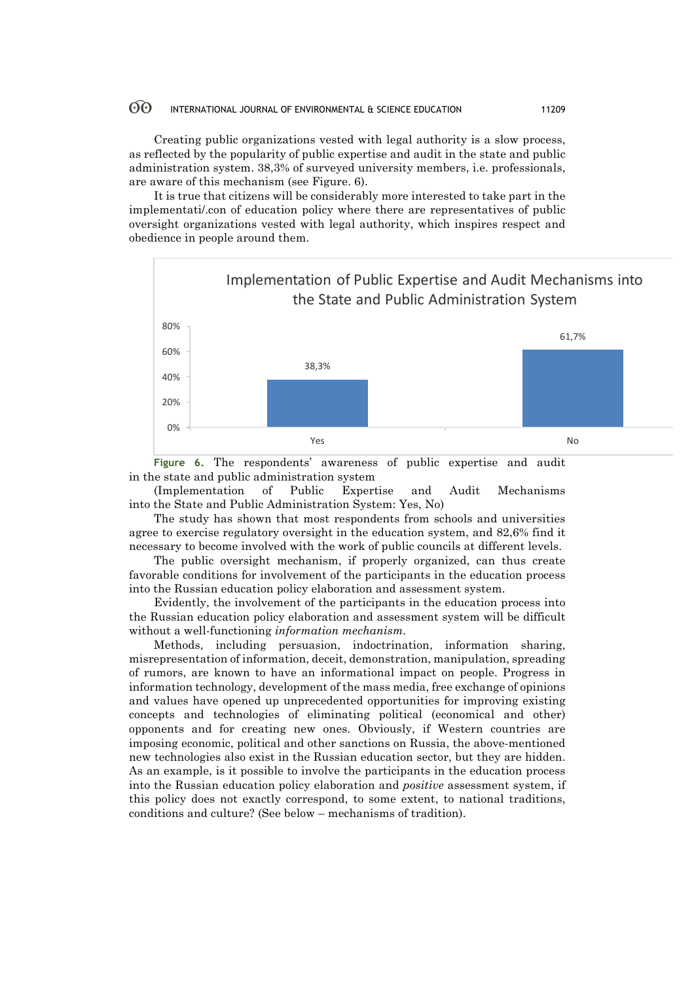Creating public organizations vested with legal authority is a slow process, as reflected by the popularity of public expertise and audit in the state and public administration system. 38,3% of surveyed university members, i.e. professionals, are aware of this mechanism (see Figure. 6).

It is true that citizens will be considerably more interested to take part in the implementati/.con of education policy where there are representatives of public oversight organizations vested with legal authority, which inspires respect and obedience in people around them.



**Figure 6.** The respondents' awareness of public expertise and audit in the state and public administration system

(Implementation of Public Expertise and Audit Mechanisms into the State and Public Administration System: Yes, No)

The study has shown that most respondents from schools and universities agree to exercise regulatory oversight in the education system, and 82,6% find it necessary to become involved with the work of public councils at different levels.

The public oversight mechanism, if properly organized, can thus create favorable conditions for involvement of the participants in the education process into the Russian education policy elaboration and assessment system.

Evidently, the involvement of the participants in the education process into the Russian education policy elaboration and assessment system will be difficult without a well-functioning *information mechanism.*

Methods, including persuasion, indoctrination, information sharing, misrepresentation of information, deceit, demonstration, manipulation, spreading of rumors, are known to have an informational impact on people. Progress in information technology, development of the mass media, free exchange of opinions and values have opened up unprecedented opportunities for improving existing concepts and technologies of eliminating political (economical and other) opponents and for creating new ones. Obviously, if Western countries are imposing economic, political and other sanctions on Russia, the above-mentioned new technologies also exist in the Russian education sector, but they are hidden. As an example, is it possible to involve the participants in the education process into the Russian education policy elaboration and *positive* assessment system, if this policy does not exactly correspond, to some extent, to national traditions, conditions and culture? (See below – mechanisms of tradition).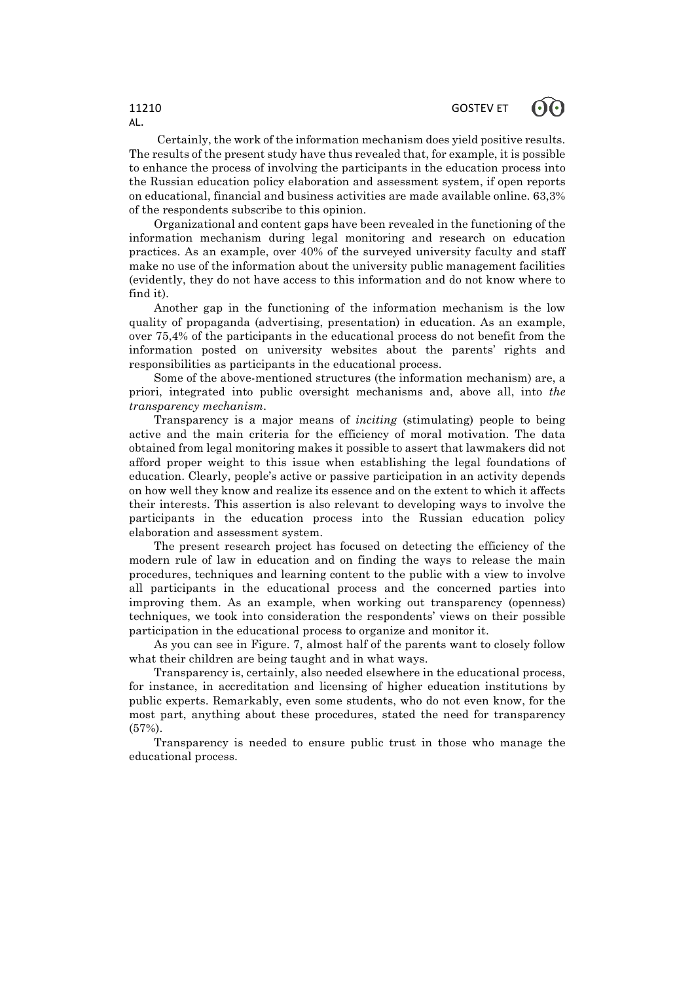Certainly, the work of the information mechanism does yield positive results. The results of the present study have thus revealed that, for example, it is possible to enhance the process of involving the participants in the education process into the Russian education policy elaboration and assessment system, if open reports on educational, financial and business activities are made available online. 63,3% of the respondents subscribe to this opinion.

Organizational and content gaps have been revealed in the functioning of the information mechanism during legal monitoring and research on education practices. As an example, over 40% of the surveyed university faculty and staff make no use of the information about the university public management facilities (evidently, they do not have access to this information and do not know where to find it).

Another gap in the functioning of the information mechanism is the low quality of propaganda (advertising, presentation) in education. As an example, over 75,4% of the participants in the educational process do not benefit from the information posted on university websites about the parents' rights and responsibilities as participants in the educational process.

Some of the above-mentioned structures (the information mechanism) are, a priori, integrated into public oversight mechanisms and, above all, into *the transparency mechanism.*

Transparency is a major means of *inciting* (stimulating) people to being active and the main criteria for the efficiency of moral motivation. The data obtained from legal monitoring makes it possible to assert that lawmakers did not afford proper weight to this issue when establishing the legal foundations of education. Clearly, people's active or passive participation in an activity depends on how well they know and realize its essence and on the extent to which it affects their interests. This assertion is also relevant to developing ways to involve the participants in the education process into the Russian education policy elaboration and assessment system.

The present research project has focused on detecting the efficiency of the modern rule of law in education and on finding the ways to release the main procedures, techniques and learning content to the public with a view to involve all participants in the educational process and the concerned parties into improving them. As an example, when working out transparency (openness) techniques, we took into consideration the respondents' views on their possible participation in the educational process to organize and monitor it.

As you can see in Figure. 7, almost half of the parents want to closely follow what their children are being taught and in what ways.

Transparency is, certainly, also needed elsewhere in the educational process, for instance, in accreditation and licensing of higher education institutions by public experts. Remarkably, even some students, who do not even know, for the most part, anything about these procedures, stated the need for transparency (57%).

Transparency is needed to ensure public trust in those who manage the educational process.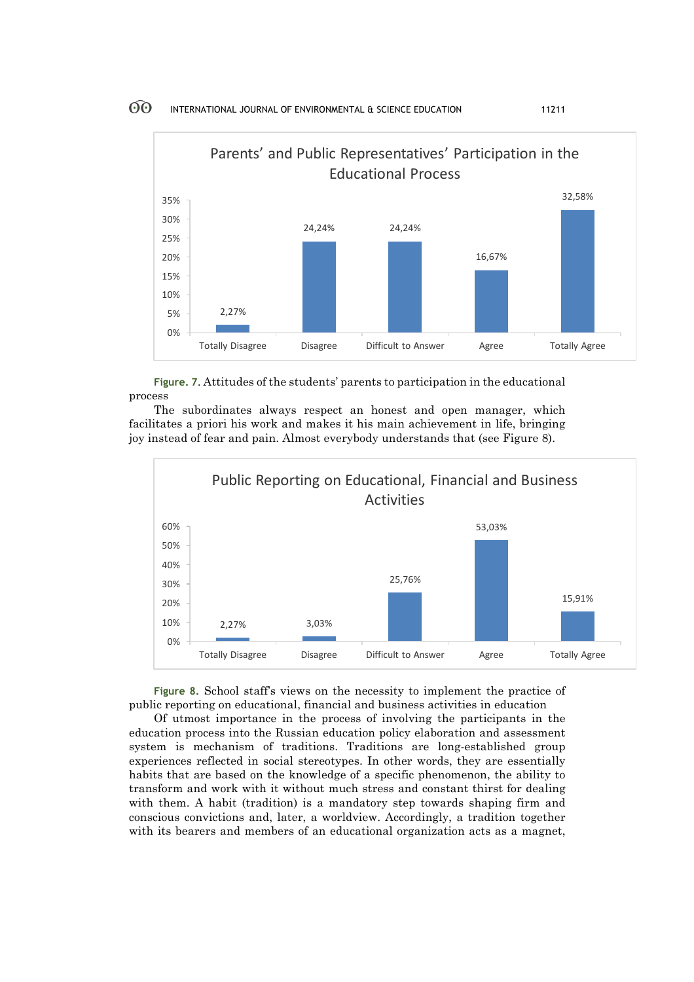

**Figure. 7**. Attitudes of the students' parents to participation in the educational process

The subordinates always respect an honest and open manager, which facilitates a priori his work and makes it his main achievement in life, bringing joy instead of fear and pain. Almost everybody understands that (see Figure 8).



**Figure 8.** School staff's views on the necessity to implement the practice of public reporting on educational, financial and business activities in education

Of utmost importance in the process of involving the participants in the education process into the Russian education policy elaboration and assessment system is mechanism of traditions. Traditions are long-established group experiences reflected in social stereotypes. In other words, they are essentially habits that are based on the knowledge of a specific phenomenon, the ability to transform and work with it without much stress and constant thirst for dealing with them. A habit (tradition) is a mandatory step towards shaping firm and conscious convictions and, later, a worldview. Accordingly, a tradition together with its bearers and members of an educational organization acts as a magnet,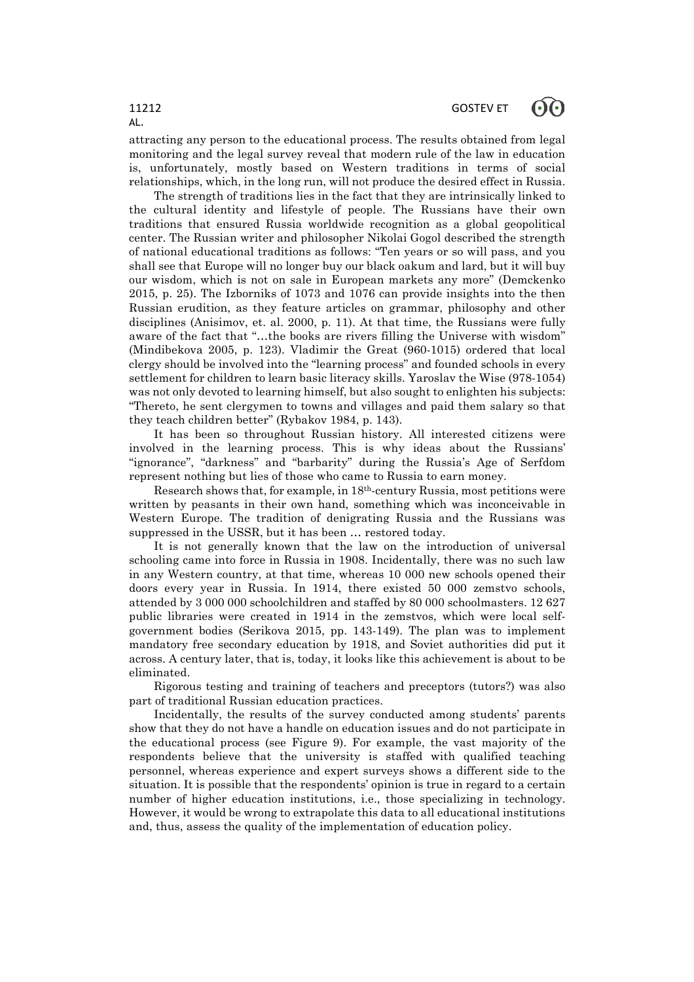attracting any person to the educational process. The results obtained from legal monitoring and the legal survey reveal that modern rule of the law in education is, unfortunately, mostly based on Western traditions in terms of social relationships, which, in the long run, will not produce the desired effect in Russia.

The strength of traditions lies in the fact that they are intrinsically linked to the cultural identity and lifestyle of people. The Russians have their own traditions that ensured Russia worldwide recognition as a global geopolitical center. The Russian writer and philosopher Nikolai Gogol described the strength of national educational traditions as follows: "Ten years or so will pass, and you shall see that Europe will no longer buy our black oakum and lard, but it will buy our wisdom, which is not on sale in European markets any more" (Demckenko 2015, p. 25). The Izborniks of 1073 and 1076 can provide insights into the then Russian erudition, as they feature articles on grammar, philosophy and other disciplines (Anisimov, et. al. 2000, p. 11). At that time, the Russians were fully aware of the fact that "…the books are rivers filling the Universe with wisdom" (Mindibekova 2005, p. 123). Vladimir the Great (960-1015) ordered that local clergy should be involved into the "learning process" and founded schools in every settlement for children to learn basic literacy skills. Yaroslav the Wise (978-1054) was not only devoted to learning himself, but also sought to enlighten his subjects: "Thereto, he sent clergymen to towns and villages and paid them salary so that they teach children better" (Rybakov 1984, p. 143).

It has been so throughout Russian history. All interested citizens were involved in the learning process. This is why ideas about the Russians' "ignorance", "darkness" and "barbarity" during the Russia's Age of Serfdom represent nothing but lies of those who came to Russia to earn money.

Research shows that, for example, in 18th-century Russia, most petitions were written by peasants in their own hand, something which was inconceivable in Western Europe. The tradition of denigrating Russia and the Russians was suppressed in the USSR, but it has been … restored today.

It is not generally known that the law on the introduction of universal schooling came into force in Russia in 1908. Incidentally, there was no such law in any Western country, at that time, whereas 10 000 new schools opened their doors every year in Russia. In 1914, there existed 50 000 zemstvo schools, attended by 3 000 000 schoolchildren and staffed by 80 000 schoolmasters. 12 627 public libraries were created in 1914 in the zemstvos, which were local selfgovernment bodies (Serikova 2015, pp. 143-149). The plan was to implement mandatory free secondary education by 1918, and Soviet authorities did put it across. A century later, that is, today, it looks like this achievement is about to be eliminated.

Rigorous testing and training of teachers and preceptors (tutors?) was also part of traditional Russian education practices.

Incidentally, the results of the survey conducted among students' parents show that they do not have a handle on education issues and do not participate in the educational process (see Figure 9). For example, the vast majority of the respondents believe that the university is staffed with qualified teaching personnel, whereas experience and expert surveys shows a different side to the situation. It is possible that the respondents' opinion is true in regard to a certain number of higher education institutions, i.e., those specializing in technology. However, it would be wrong to extrapolate this data to all educational institutions and, thus, assess the quality of the implementation of education policy.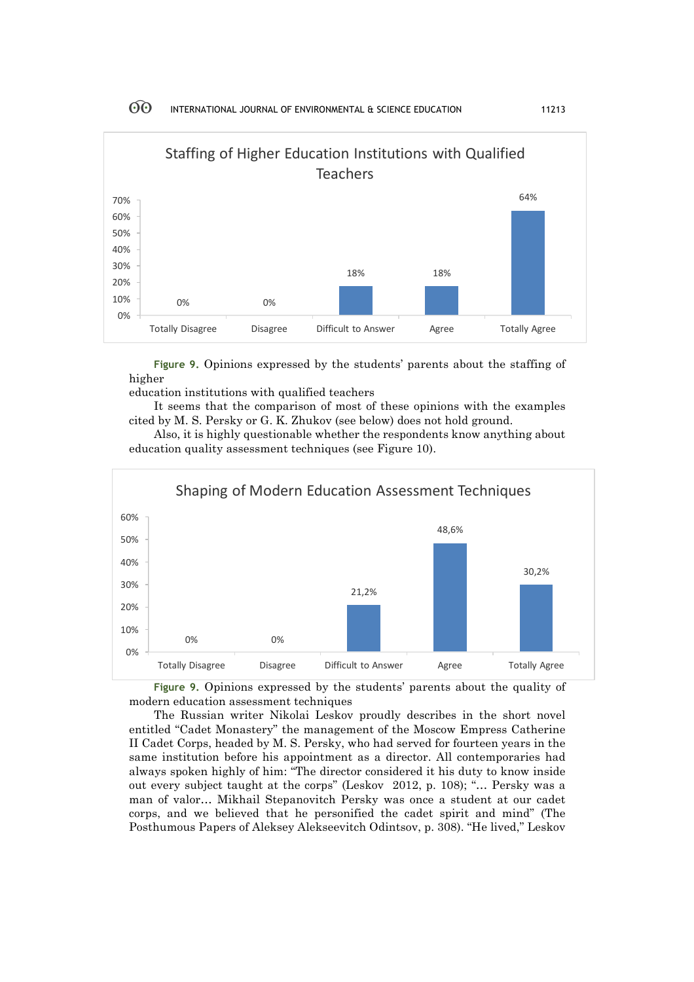

**Figure 9.** Opinions expressed by the students' parents about the staffing of higher

education institutions with qualified teachers

It seems that the comparison of most of these opinions with the examples cited by M. S. Persky or G. K. Zhukov (see below) does not hold ground.

Also, it is highly questionable whether the respondents know anything about education quality assessment techniques (see Figure 10).



**Figure 9.** Opinions expressed by the students' parents about the quality of modern education assessment techniques

The Russian writer Nikolai Leskov proudly describes in the short novel entitled "Cadet Monastery" the management of the Moscow Empress Catherine II Cadet Corps, headed by M. S. Persky, who had served for fourteen years in the same institution before his appointment as a director. All contemporaries had always spoken highly of him: "The director considered it his duty to know inside out every subject taught at the corps" (Leskov 2012, p. 108); "… Persky was a man of valor… Mikhail Stepanovitch Persky was once a student at our cadet corps, and we believed that he personified the cadet spirit and mind" (The Posthumous Papers of Aleksey Alekseevitch Odintsov, p. 308). "He lived," Leskov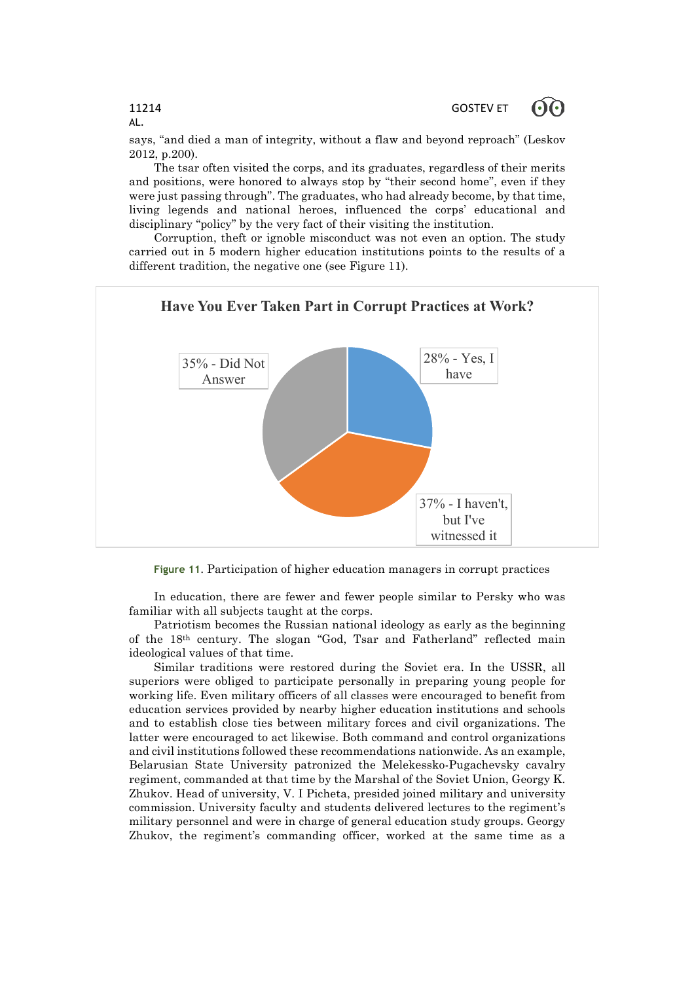| 11214<br>AL.                                                                    | GOSTEV ET $\odot$ |  |
|---------------------------------------------------------------------------------|-------------------|--|
| says, "and died a man of integrity, without a flaw and beyond reproach" (Leskov |                   |  |

2012, p.200). The tsar often visited the corps, and its graduates, regardless of their merits and positions, were honored to always stop by "their second home", even if they were just passing through". The graduates, who had already become, by that time, living legends and national heroes, influenced the corps' educational and

disciplinary "policy" by the very fact of their visiting the institution. Corruption, theft or ignoble misconduct was not even an option. The study carried out in 5 modern higher education institutions points to the results of a different tradition, the negative one (see Figure 11).



**Figure 11**. Participation of higher education managers in corrupt practices

In education, there are fewer and fewer people similar to Persky who was familiar with all subjects taught at the corps.

Patriotism becomes the Russian national ideology as early as the beginning of the 18th century. The slogan "God, Tsar and Fatherland" reflected main ideological values of that time.

Similar traditions were restored during the Soviet era. In the USSR, all superiors were obliged to participate personally in preparing young people for working life. Even military officers of all classes were encouraged to benefit from education services provided by nearby higher education institutions and schools and to establish close ties between military forces and civil organizations. The latter were encouraged to act likewise. Both command and control organizations and civil institutions followed these recommendations nationwide. As an example, Belarusian State University patronized the Melekessko-Pugachevsky cavalry regiment, commanded at that time by the Marshal of the Soviet Union, Georgy K. Zhukov. Head of university, V. I Picheta, presided joined military and university commission. University faculty and students delivered lectures to the regiment's military personnel and were in charge of general education study groups. Georgy Zhukov, the regiment's commanding officer, worked at the same time as a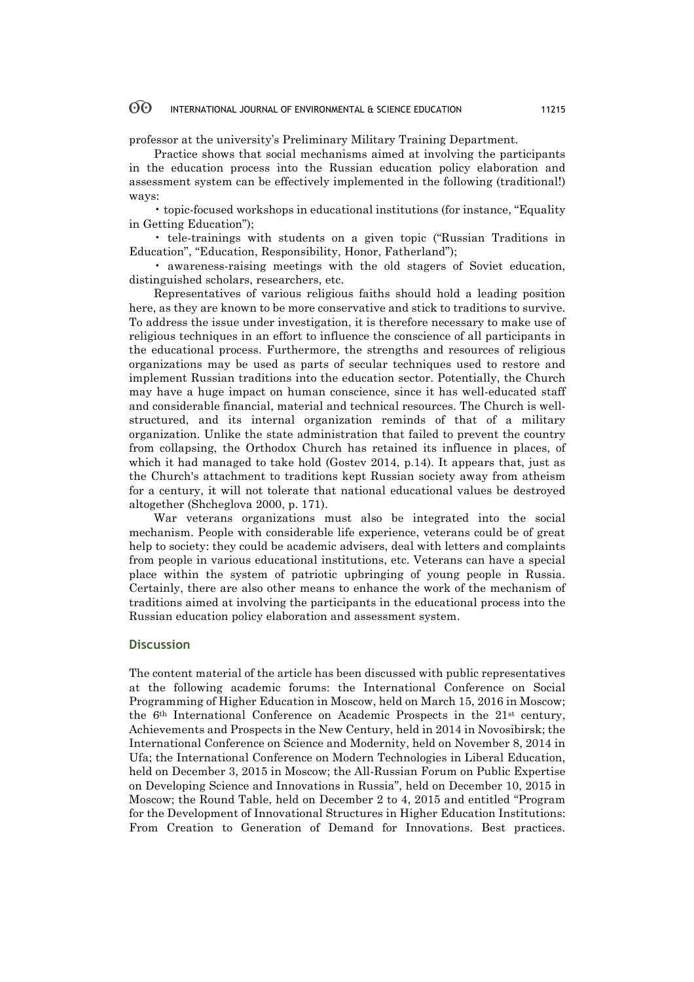professor at the university's Preliminary Military Training Department.

Practice shows that social mechanisms aimed at involving the participants in the education process into the Russian education policy elaboration and assessment system can be effectively implemented in the following (traditional!) ways:

• topic-focused workshops in educational institutions (for instance, "Equality in Getting Education");

• tele-trainings with students on a given topic ("Russian Traditions in Education", "Education, Responsibility, Honor, Fatherland");

• awareness-raising meetings with the old stagers of Soviet education, distinguished scholars, researchers, etc.

Representatives of various religious faiths should hold a leading position here, as they are known to be more conservative and stick to traditions to survive. To address the issue under investigation, it is therefore necessary to make use of religious techniques in an effort to influence the conscience of all participants in the educational process. Furthermore, the strengths and resources of religious organizations may be used as parts of secular techniques used to restore and implement Russian traditions into the education sector. Potentially, the Church may have a huge impact on human conscience, since it has well-educated staff and considerable financial, material and technical resources. The Church is wellstructured, and its internal organization reminds of that of a military organization. Unlike the state administration that failed to prevent the country from collapsing, the Orthodox Church has retained its influence in places, of which it had managed to take hold (Gostev 2014, p.14). It appears that, just as the Church's attachment to traditions kept Russian society away from atheism for a century, it will not tolerate that national educational values be destroyed altogether (Shcheglova 2000, p. 171).

War veterans organizations must also be integrated into the social mechanism. People with considerable life experience, veterans could be of great help to society: they could be academic advisers, deal with letters and complaints from people in various educational institutions, etc. Veterans can have a special place within the system of patriotic upbringing of young people in Russia. Certainly, there are also other means to enhance the work of the mechanism of traditions aimed at involving the participants in the educational process into the Russian education policy elaboration and assessment system.

## **Discussion**

The content material of the article has been discussed with public representatives at the following academic forums: the International Conference on Social Programming of Higher Education in Moscow, held on March 15, 2016 in Moscow; the 6th International Conference on Academic Prospects in the 21st century, Achievements and Prospects in the New Century, held in 2014 in Novosibirsk; the International Conference on Science and Modernity, held on November 8, 2014 in Ufa; the International Conference on Modern Technologies in Liberal Education, held on December 3, 2015 in Moscow; the All-Russian Forum on Public Expertise on Developing Science and Innovations in Russia", held on December 10, 2015 in Moscow; the Round Table, held on December 2 to 4, 2015 and entitled "Program for the Development of Innovational Structures in Higher Education Institutions: From Creation to Generation of Demand for Innovations. Best practices.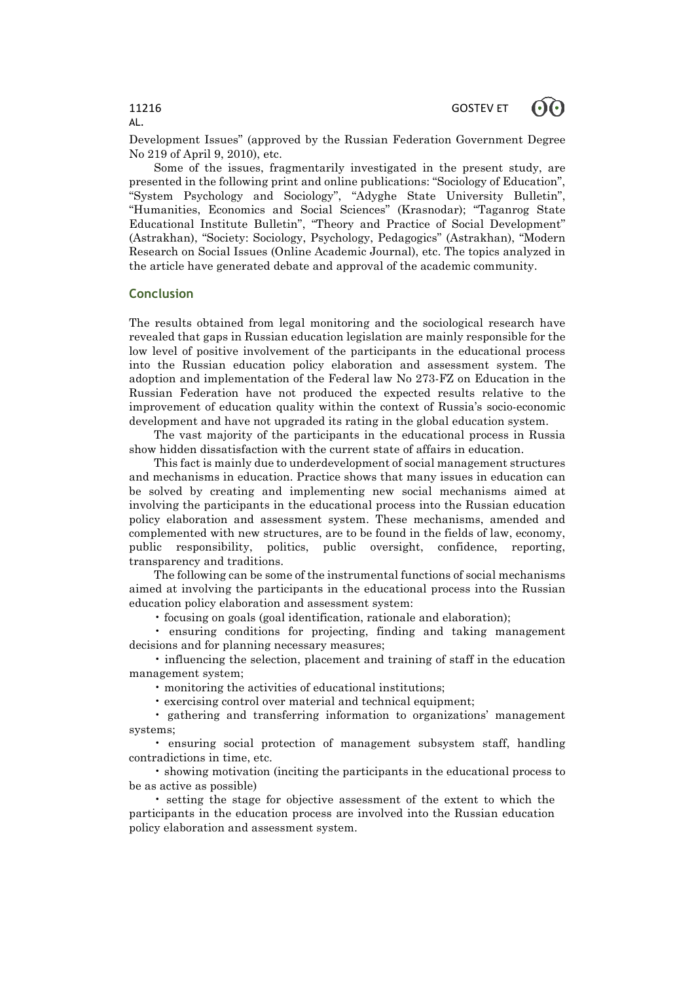Development Issues" (approved by the Russian Federation Government Degree No 219 of April 9, 2010), etc.

Some of the issues, fragmentarily investigated in the present study, are presented in the following print and online publications: "Sociology of Education", "System Psychology and Sociology", "Adyghe State University Bulletin", "Humanities, Economics and Social Sciences" (Krasnodar); "Taganrog State Educational Institute Bulletin", "Theory and Practice of Social Development" (Astrakhan), "Society: Sociology, Psychology, Pedagogics" (Astrakhan), "Modern Research on Social Issues (Online Academic Journal), etc. The topics analyzed in the article have generated debate and approval of the academic community.

## **Conclusion**

The results obtained from legal monitoring and the sociological research have revealed that gaps in Russian education legislation are mainly responsible for the low level of positive involvement of the participants in the educational process into the Russian education policy elaboration and assessment system. The adoption and implementation of the Federal law No 273-FZ on Education in the Russian Federation have not produced the expected results relative to the improvement of education quality within the context of Russia's socio-economic development and have not upgraded its rating in the global education system.

The vast majority of the participants in the educational process in Russia show hidden dissatisfaction with the current state of affairs in education.

This fact is mainly due to underdevelopment of social management structures and mechanisms in education. Practice shows that many issues in education can be solved by creating and implementing new social mechanisms aimed at involving the participants in the educational process into the Russian education policy elaboration and assessment system. These mechanisms, amended and complemented with new structures, are to be found in the fields of law, economy, public responsibility, politics, public oversight, confidence, reporting, transparency and traditions.

The following can be some of the instrumental functions of social mechanisms aimed at involving the participants in the educational process into the Russian education policy elaboration and assessment system:

• focusing on goals (goal identification, rationale and elaboration);

• ensuring conditions for projecting, finding and taking management decisions and for planning necessary measures;

• influencing the selection, placement and training of staff in the education management system;

• monitoring the activities of educational institutions;

• exercising control over material and technical equipment;

• gathering and transferring information to organizations' management systems;

• ensuring social protection of management subsystem staff, handling contradictions in time, etc.

• showing motivation (inciting the participants in the educational process to be as active as possible)

• setting the stage for objective assessment of the extent to which the participants in the education process are involved into the Russian education policy elaboration and assessment system.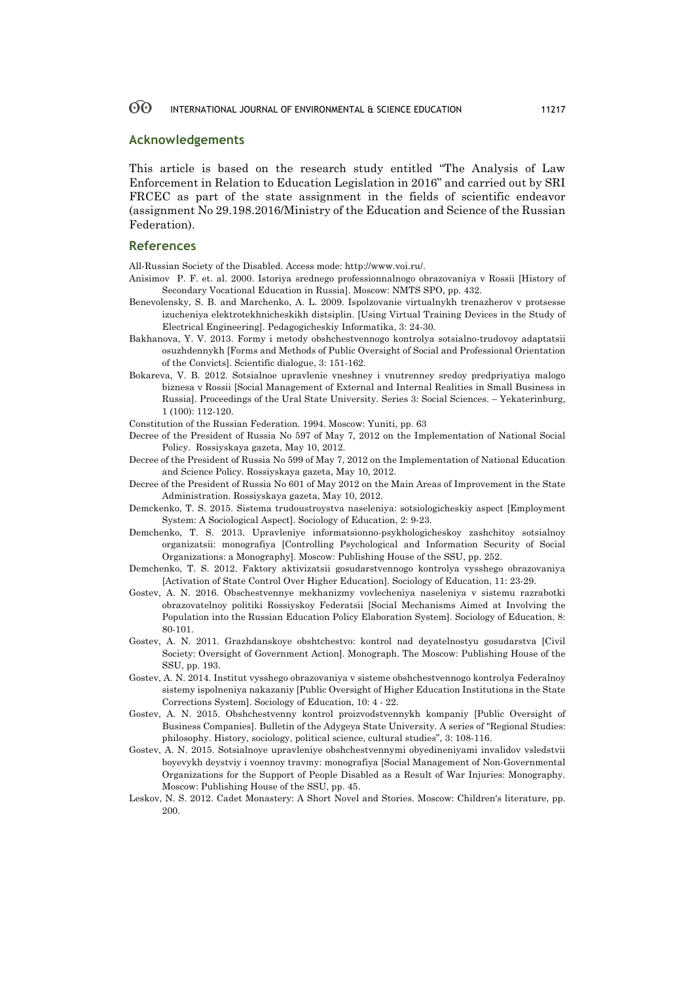## **Acknowledgements**

This article is based on the research study entitled "The Analysis of Law Enforcement in Relation to Education Legislation in 2016" and carried out by SRI FRCEC as part of the state assignment in the fields of scientific endeavor (assignment No 29.198.2016/Ministry of the Education and Science of the Russian Federation).

## **References**

All-Russian Society of the Disabled. Access mode: http://www.voi.ru/.

- Anisimov P. F. et. al. 2000. Istoriya srednego professionnalnogo obrazovaniya v Rossii [History of Secondary Vocational Education in Russia]. Мoscow: NMTS SPO, pp. 432.
- Benevolensky, S. B. and Marchenko, A. L. 2009. Ispolzovanie virtualnykh trenazherov v protsesse izucheniya elektrotekhnicheskikh distsiplin. [Using Virtual Training Devices in the Study of Electrical Engineering]. Pedagogicheskiy Informatika, 3: 24-30.
- Bakhanova, Y. V. 2013. Formy i metody obshchestvennogo kontrolya sotsialno-trudovoy adaptatsii osuzhdennykh [Forms and Methods of Public Oversight of Social and Professional Orientation of the Convicts]. Scientific dialogue, 3: 151-162.
- Bokareva, V. B. 2012. Sotsialnoe upravlenie vneshney i vnutrenney sredoy predpriyatiya malogo biznesa v Rossii [Social Management of External and Internal Realities in Small Business in Russia]. Proceedings of the Ural State University. Series 3: Social Sciences. – Yekaterinburg, 1 (100): 112-120.

Constitution of the Russian Federation. 1994. Мoscow: Yuniti, pp. 63

- Decree of the President of Russia No 597 of May 7, 2012 on the Implementation of National Social Policy. Rossiyskaya gazeta, May 10, 2012.
- Decree of the President of Russia No 599 of May 7, 2012 on the Implementation of National Education and Science Policy. Rossiyskaya gazeta, May 10, 2012.
- Decree of the President of Russia No 601 of May 2012 on the Main Areas of Improvement in the State Administration. Rossiyskaya gazeta, May 10, 2012.
- Demckenko, T. S. 2015. Sistema trudoustroystva naseleniya: sotsiologicheskiy aspect [Employment System: A Sociological Aspect]. Sociology of Education, 2: 9-23.
- Demchenko, T. S. 2013. Upravleniye informatsionno-psykhologicheskoy zashchitoy sotsialnoy organizatsii: monografiya [Controlling Psychological and Information Security of Social Organizations: a Monography]. Moscow: Publishing House of the SSU, pp. 252.
- Demchenko, T. S. 2012. Faktory aktivizatsii gosudarstvennogo kontrolya vysshego obrazovaniya [Activation of State Control Over Higher Education]. Sociology of Education, 11: 23-29.
- Gostev, A. N. 2016. Obschestvennye mekhanizmy vovlecheniya naseleniya v sistemu razrabotki obrazovatelnoy politiki Rossiyskoy Federatsii [Social Mechanisms Aimed at Involving the Population into the Russian Education Policy Elaboration System]. Sociology of Education, 8: 80-101.
- Gostev, A. N. 2011. Grazhdanskoye obshtchestvo: kontrol nad deyatelnostyu gosudarstva [Civil Society: Oversight of Government Action]. Monograph. The Moscow: Publishing House of the SSU, pp. 193.
- Gostev, A. N. 2014. Institut vysshego obrazovaniya v sisteme obshchestvennogo kontrolya Federalnoy sistemy ispolneniya nakazaniy [Public Oversight of Higher Education Institutions in the State Corrections System]. Sociology of Education, 10: 4 - 22.
- Gostev, A. N. 2015. Obshchestvenny kontrol proizvodstvennykh kompaniy [Public Oversight of Business Companies]. Bulletin of the Adygeya State University. A series of "Regional Studies: philosophy. History, sociology, political science, cultural studies", 3: 108-116.
- Gostev, A. N. 2015. Sotsialnoye upravleniye obshchestvennymi obyedineniyami invalidov vsledstvii boyevykh deystviy i voennoy travmy: monografiya [Social Management of Non-Governmental Organizations for the Support of People Disabled as a Result of War Injuries: Monography. Moscow: Publishing House of the SSU, pp. 45.
- Leskov, N. S. 2012. Cadet Monastery: A Short Novel and Stories. Мoscow: Children's literature, pp. 200.